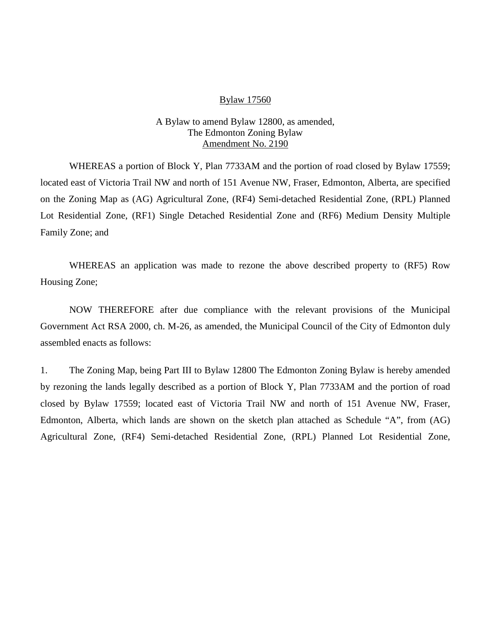## Bylaw 17560

## A Bylaw to amend Bylaw 12800, as amended, The Edmonton Zoning Bylaw Amendment No. 2190

WHEREAS a portion of Block Y, Plan 7733AM and the portion of road closed by Bylaw 17559; located east of Victoria Trail NW and north of 151 Avenue NW, Fraser, Edmonton, Alberta, are specified on the Zoning Map as (AG) Agricultural Zone, (RF4) Semi-detached Residential Zone, (RPL) Planned Lot Residential Zone, (RF1) Single Detached Residential Zone and (RF6) Medium Density Multiple Family Zone; and

WHEREAS an application was made to rezone the above described property to (RF5) Row Housing Zone;

NOW THEREFORE after due compliance with the relevant provisions of the Municipal Government Act RSA 2000, ch. M-26, as amended, the Municipal Council of the City of Edmonton duly assembled enacts as follows:

1. The Zoning Map, being Part III to Bylaw 12800 The Edmonton Zoning Bylaw is hereby amended by rezoning the lands legally described as a portion of Block Y, Plan 7733AM and the portion of road closed by Bylaw 17559; located east of Victoria Trail NW and north of 151 Avenue NW, Fraser, Edmonton, Alberta, which lands are shown on the sketch plan attached as Schedule "A", from (AG) Agricultural Zone, (RF4) Semi-detached Residential Zone, (RPL) Planned Lot Residential Zone,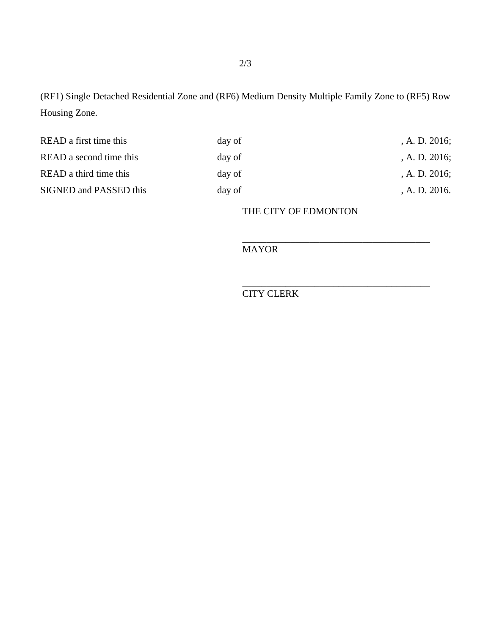(RF1) Single Detached Residential Zone and (RF6) Medium Density Multiple Family Zone to (RF5) Row Housing Zone.

| day of | A. D. 2016;      |
|--------|------------------|
| day of | , A. D. $2016$ ; |
| day of | A. D. 2016;      |
| day of | A. D. 2016.      |
|        |                  |

## THE CITY OF EDMONTON

\_\_\_\_\_\_\_\_\_\_\_\_\_\_\_\_\_\_\_\_\_\_\_\_\_\_\_\_\_\_\_\_\_\_\_\_\_\_\_

\_\_\_\_\_\_\_\_\_\_\_\_\_\_\_\_\_\_\_\_\_\_\_\_\_\_\_\_\_\_\_\_\_\_\_\_\_\_\_

MAYOR

CITY CLERK